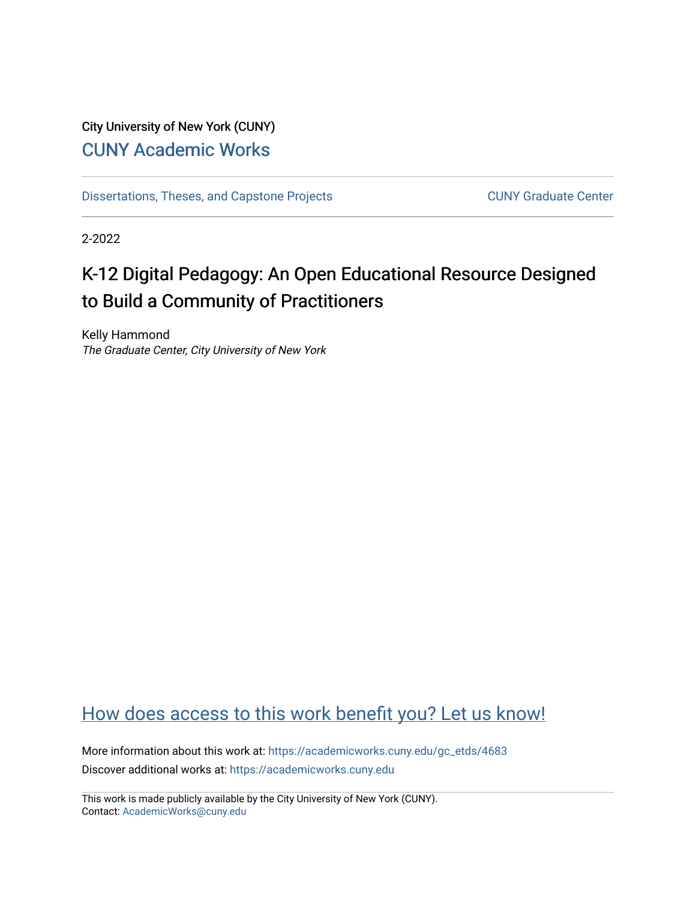## City University of New York (CUNY) [CUNY Academic Works](https://academicworks.cuny.edu/)

[Dissertations, Theses, and Capstone Projects](https://academicworks.cuny.edu/gc_etds) CUNY Graduate Center

2-2022

# K-12 Digital Pedagogy: An Open Educational Resource Designed to Build a Community of Practitioners

Kelly Hammond The Graduate Center, City University of New York

## [How does access to this work benefit you? Let us know!](http://ols.cuny.edu/academicworks/?ref=https://academicworks.cuny.edu/gc_etds/4683)

More information about this work at: [https://academicworks.cuny.edu/gc\\_etds/4683](https://academicworks.cuny.edu/gc_etds/4683) Discover additional works at: [https://academicworks.cuny.edu](https://academicworks.cuny.edu/?)

This work is made publicly available by the City University of New York (CUNY). Contact: [AcademicWorks@cuny.edu](mailto:AcademicWorks@cuny.edu)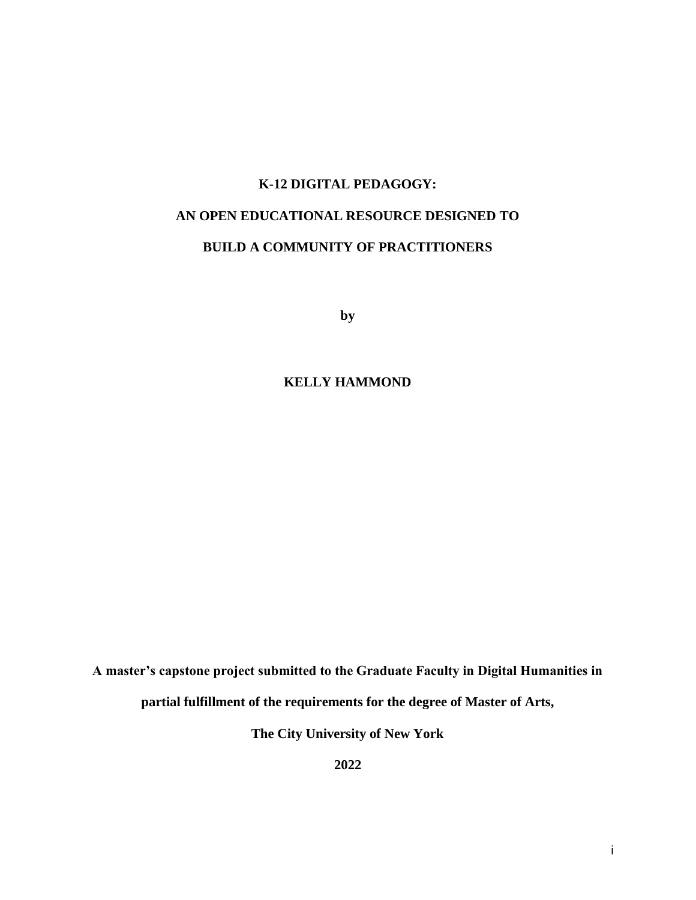# **K-12 DIGITAL PEDAGOGY: AN OPEN EDUCATIONAL RESOURCE DESIGNED TO BUILD A COMMUNITY OF PRACTITIONERS**

**by**

**KELLY HAMMOND**

**A master's capstone project submitted to the Graduate Faculty in Digital Humanities in** 

**partial fulfillment of the requirements for the degree of Master of Arts,** 

**The City University of New York**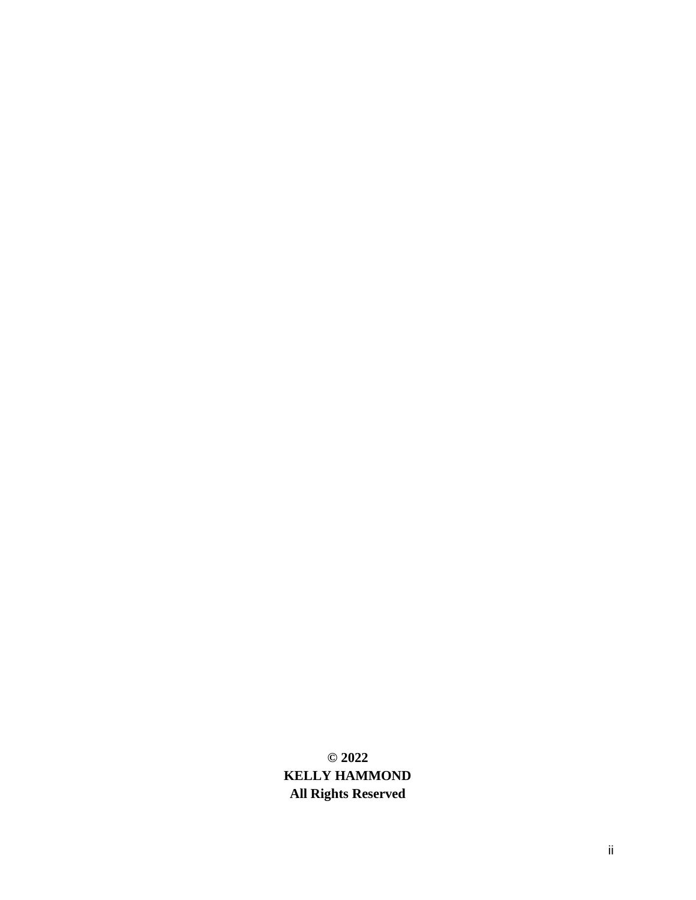**© 2022 KELLY HAMMOND All Rights Reserved**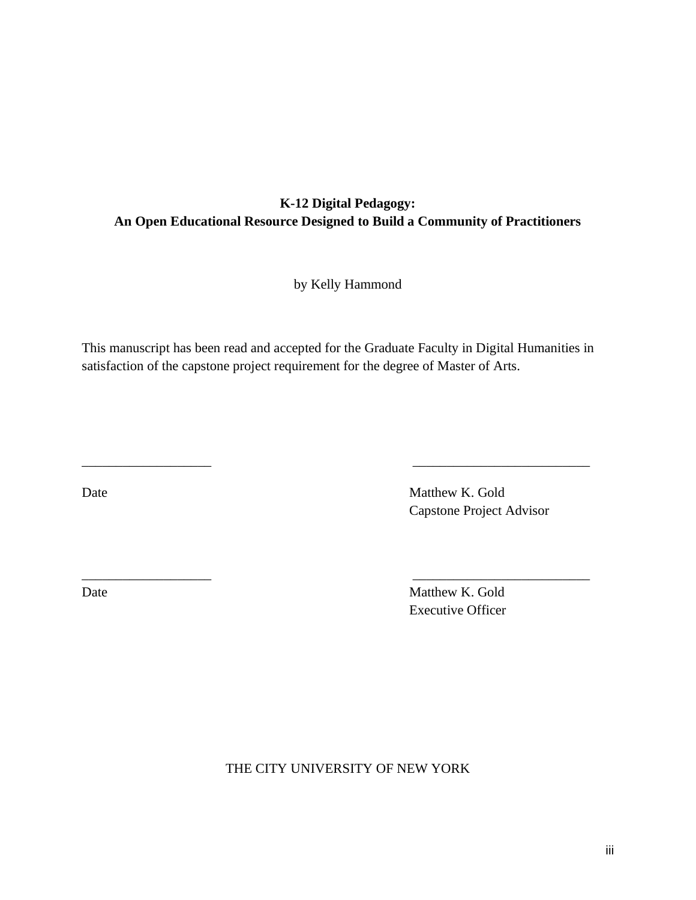## **K-12 Digital Pedagogy: An Open Educational Resource Designed to Build a Community of Practitioners**

by Kelly Hammond

This manuscript has been read and accepted for the Graduate Faculty in Digital Humanities in satisfaction of the capstone project requirement for the degree of Master of Arts.

\_\_\_\_\_\_\_\_\_\_\_\_\_\_\_\_\_\_\_ \_\_\_\_\_\_\_\_\_\_\_\_\_\_\_\_\_\_\_\_\_\_\_\_\_\_

 $\overline{\phantom{a}}$  , and the contract of the contract of the contract of the contract of the contract of the contract of the contract of the contract of the contract of the contract of the contract of the contract of the contrac

Date Matthew K. Gold Capstone Project Advisor

Date Matthew K. Gold Executive Officer

THE CITY UNIVERSITY OF NEW YORK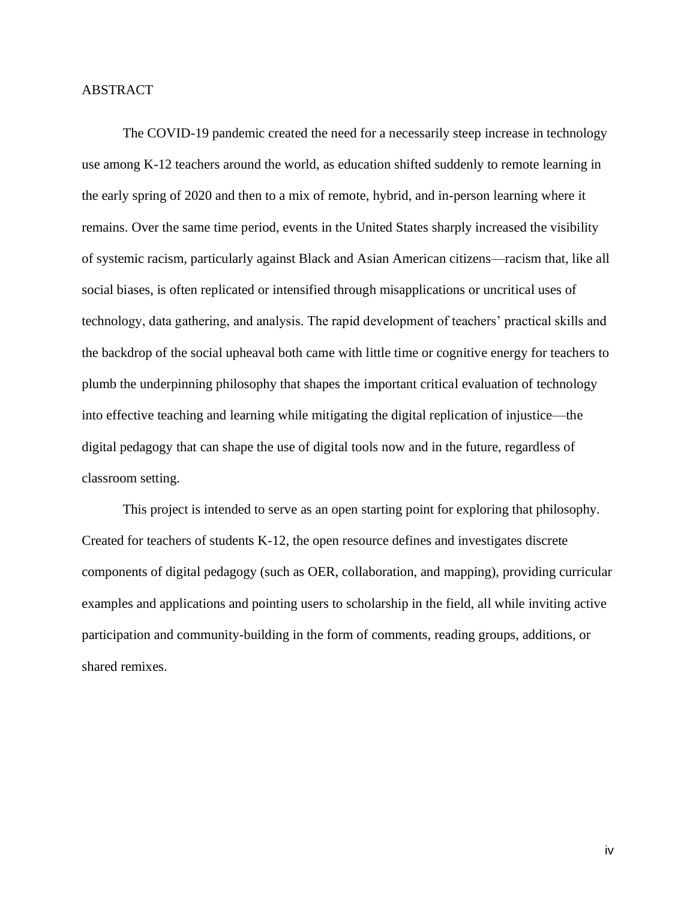### <span id="page-4-0"></span>ABSTRACT

The COVID-19 pandemic created the need for a necessarily steep increase in technology use among K-12 teachers around the world, as education shifted suddenly to remote learning in the early spring of 2020 and then to a mix of remote, hybrid, and in-person learning where it remains. Over the same time period, events in the United States sharply increased the visibility of systemic racism, particularly against Black and Asian American citizens—racism that, like all social biases, is often replicated or intensified through misapplications or uncritical uses of technology, data gathering, and analysis. The rapid development of teachers' practical skills and the backdrop of the social upheaval both came with little time or cognitive energy for teachers to plumb the underpinning philosophy that shapes the important critical evaluation of technology into effective teaching and learning while mitigating the digital replication of injustice—the digital pedagogy that can shape the use of digital tools now and in the future, regardless of classroom setting.

This project is intended to serve as an open starting point for exploring that philosophy. Created for teachers of students K-12, the open resource defines and investigates discrete components of digital pedagogy (such as OER, collaboration, and mapping), providing curricular examples and applications and pointing users to scholarship in the field, all while inviting active participation and community-building in the form of comments, reading groups, additions, or shared remixes.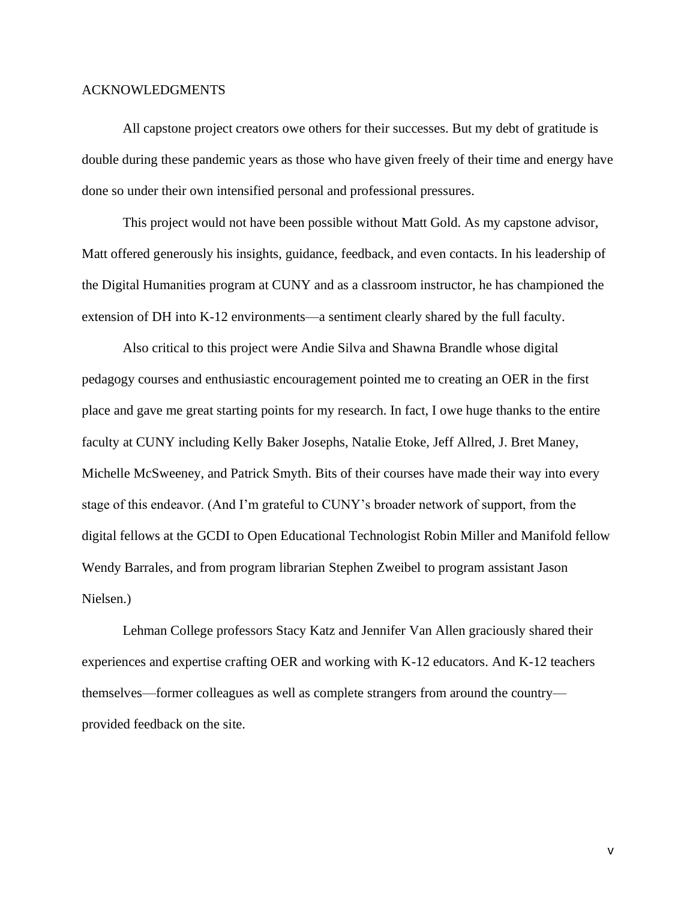#### <span id="page-5-0"></span>ACKNOWLEDGMENTS

All capstone project creators owe others for their successes. But my debt of gratitude is double during these pandemic years as those who have given freely of their time and energy have done so under their own intensified personal and professional pressures.

This project would not have been possible without Matt Gold. As my capstone advisor, Matt offered generously his insights, guidance, feedback, and even contacts. In his leadership of the Digital Humanities program at CUNY and as a classroom instructor, he has championed the extension of DH into K-12 environments—a sentiment clearly shared by the full faculty.

Also critical to this project were Andie Silva and Shawna Brandle whose digital pedagogy courses and enthusiastic encouragement pointed me to creating an OER in the first place and gave me great starting points for my research. In fact, I owe huge thanks to the entire faculty at CUNY including Kelly Baker Josephs, Natalie Etoke, Jeff Allred, J. Bret Maney, Michelle McSweeney, and Patrick Smyth. Bits of their courses have made their way into every stage of this endeavor. (And I'm grateful to CUNY's broader network of support, from the digital fellows at the GCDI to Open Educational Technologist Robin Miller and Manifold fellow Wendy Barrales, and from program librarian Stephen Zweibel to program assistant Jason Nielsen.)

Lehman College professors Stacy Katz and Jennifer Van Allen graciously shared their experiences and expertise crafting OER and working with K-12 educators. And K-12 teachers themselves—former colleagues as well as complete strangers from around the country provided feedback on the site.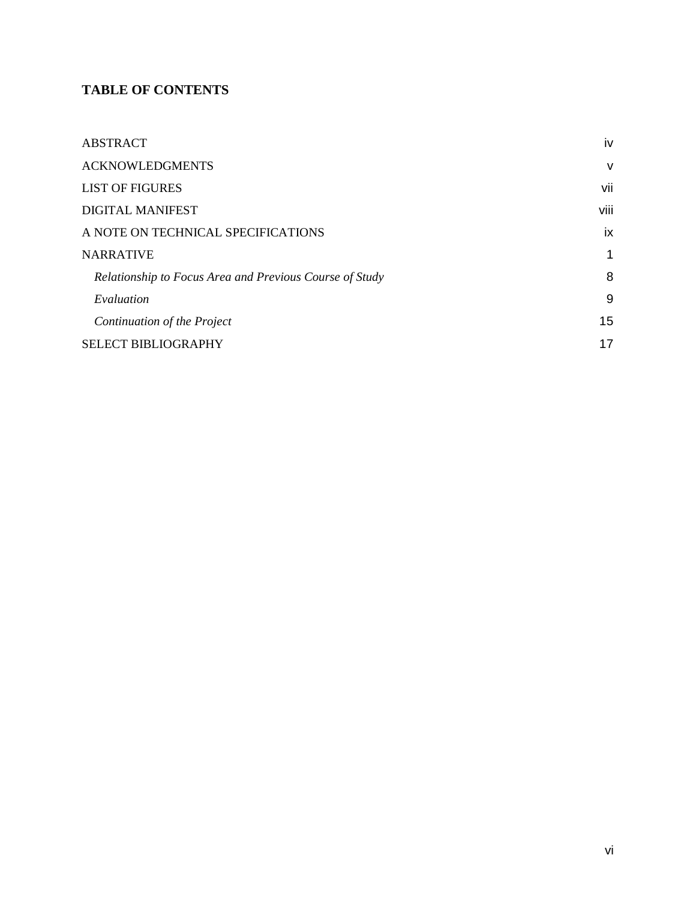## **TABLE OF CONTENTS**

| <b>ABSTRACT</b>                                         | iv           |
|---------------------------------------------------------|--------------|
| <b>ACKNOWLEDGMENTS</b>                                  | $\mathsf{V}$ |
| <b>LIST OF FIGURES</b>                                  | vii          |
| <b>DIGITAL MANIFEST</b>                                 | viii         |
| A NOTE ON TECHNICAL SPECIFICATIONS                      | ix           |
| <b>NARRATIVE</b>                                        | 1            |
| Relationship to Focus Area and Previous Course of Study | 8            |
| Evaluation                                              | 9            |
| Continuation of the Project                             | 15           |
| <b>SELECT BIBLIOGRAPHY</b>                              | 17           |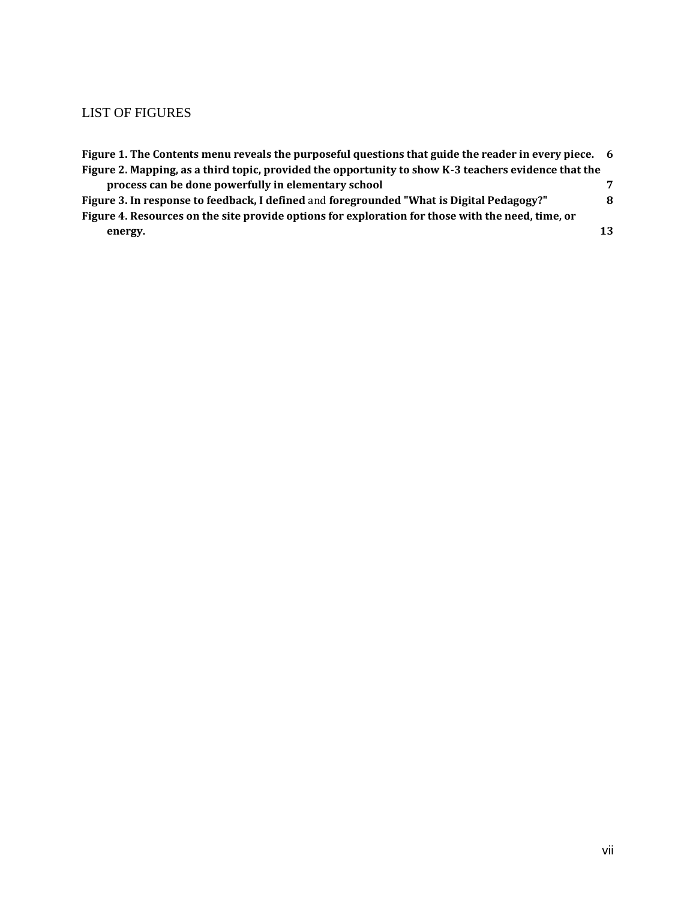## <span id="page-7-0"></span>LIST OF FIGURES

| Figure 1. The Contents menu reveals the purposeful questions that guide the reader in every piece. 6 |    |
|------------------------------------------------------------------------------------------------------|----|
| Figure 2. Mapping, as a third topic, provided the opportunity to show K-3 teachers evidence that the |    |
| process can be done powerfully in elementary school                                                  | 7  |
| Figure 3. In response to feedback, I defined and foregrounded "What is Digital Pedagogy?"            | 8  |
| Figure 4. Resources on the site provide options for exploration for those with the need, time, or    |    |
| energy.                                                                                              | 13 |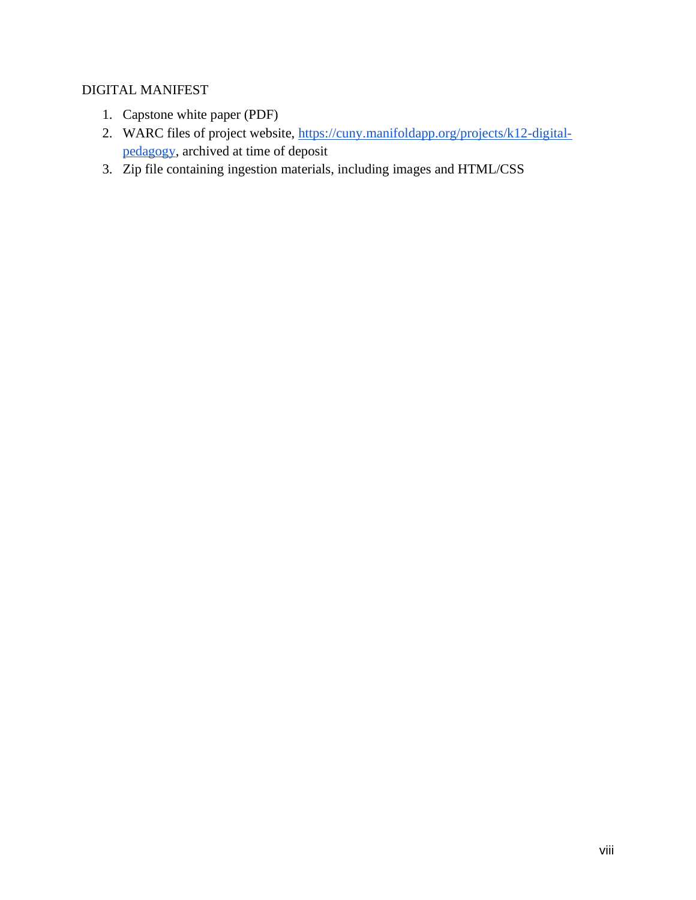## <span id="page-8-0"></span>DIGITAL MANIFEST

- 1. Capstone white paper (PDF)
- 2. WARC files of project website, [https://cuny.manifoldapp.org/projects/k12-digital](https://cuny.manifoldapp.org/projects/k12-digital-pedagogy)[pedagogy,](https://cuny.manifoldapp.org/projects/k12-digital-pedagogy) archived at time of deposit
- 3. Zip file containing ingestion materials, including images and HTML/CSS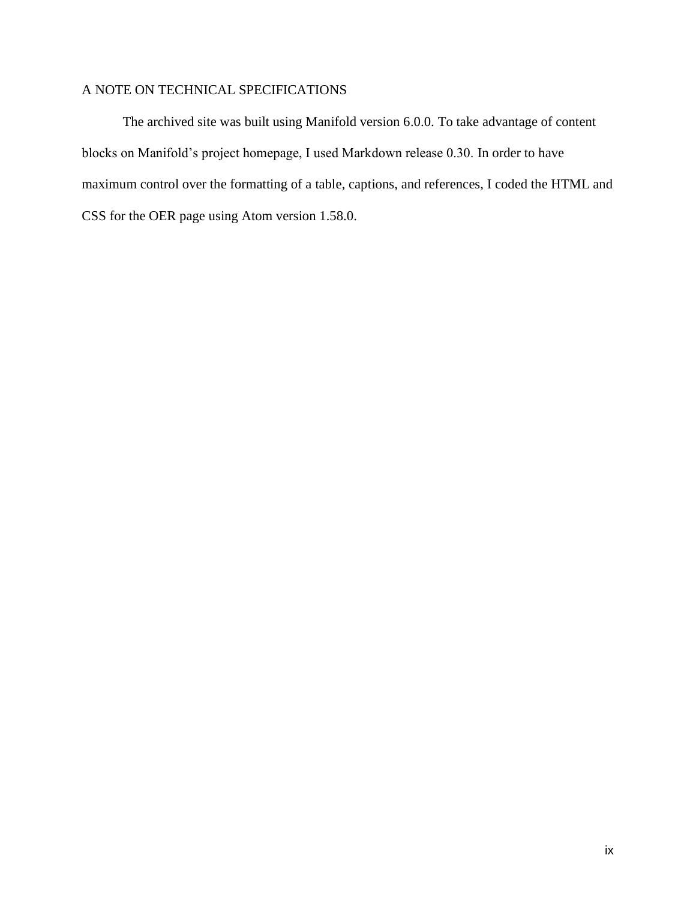## <span id="page-9-0"></span>A NOTE ON TECHNICAL SPECIFICATIONS

The archived site was built using Manifold version 6.0.0. To take advantage of content blocks on Manifold's project homepage, I used Markdown release 0.30. In order to have maximum control over the formatting of a table, captions, and references, I coded the HTML and CSS for the OER page using Atom version 1.58.0.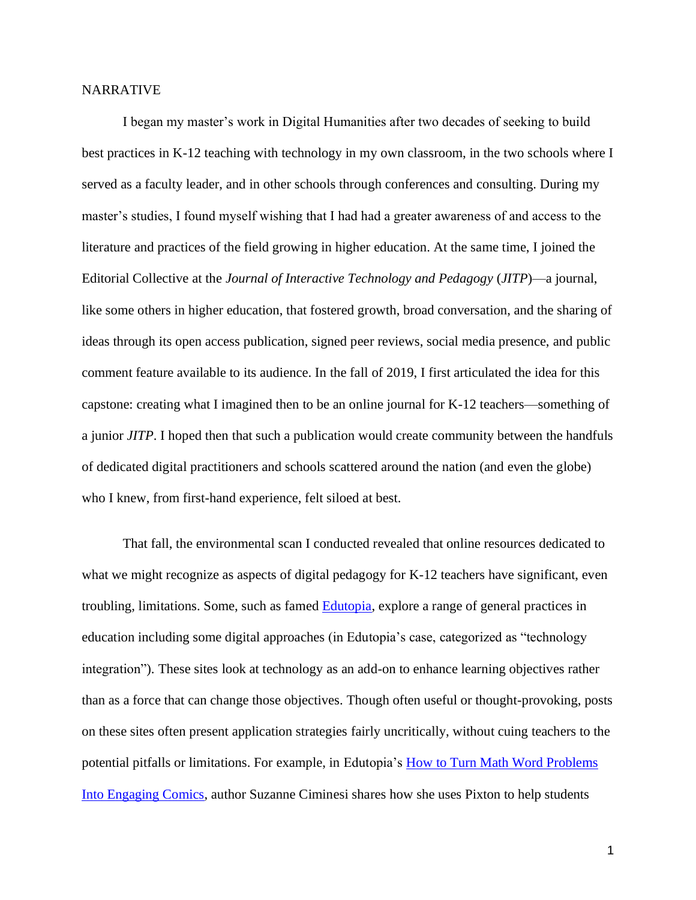#### <span id="page-10-0"></span>NARRATIVE

I began my master's work in Digital Humanities after two decades of seeking to build best practices in K-12 teaching with technology in my own classroom, in the two schools where I served as a faculty leader, and in other schools through conferences and consulting. During my master's studies, I found myself wishing that I had had a greater awareness of and access to the literature and practices of the field growing in higher education. At the same time, I joined the Editorial Collective at the *Journal of Interactive Technology and Pedagogy* (*JITP*)—a journal, like some others in higher education, that fostered growth, broad conversation, and the sharing of ideas through its open access publication, signed peer reviews, social media presence, and public comment feature available to its audience. In the fall of 2019, I first articulated the idea for this capstone: creating what I imagined then to be an online journal for K-12 teachers—something of a junior *JITP*. I hoped then that such a publication would create community between the handfuls of dedicated digital practitioners and schools scattered around the nation (and even the globe) who I knew, from first-hand experience, felt siloed at best.

That fall, the environmental scan I conducted revealed that online resources dedicated to what we might recognize as aspects of digital pedagogy for K-12 teachers have significant, even troubling, limitations. Some, such as famed **Edutopia**, explore a range of general practices in education including some digital approaches (in Edutopia's case, categorized as "technology integration"). These sites look at technology as an add-on to enhance learning objectives rather than as a force that can change those objectives. Though often useful or thought-provoking, posts on these sites often present application strategies fairly uncritically, without cuing teachers to the potential pitfalls or limitations. For example, in Edutopia's [How to Turn Math Word Problems](https://www.edutopia.org/article/how-turn-math-word-problems-engaging-comics)  [Into Engaging Comics,](https://www.edutopia.org/article/how-turn-math-word-problems-engaging-comics) author Suzanne Ciminesi shares how she uses Pixton to help students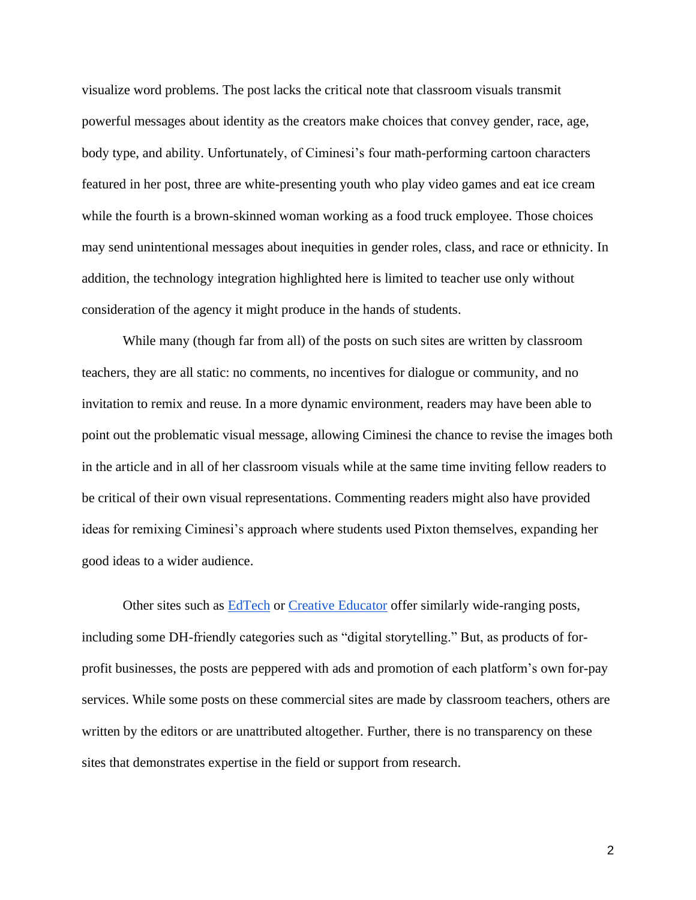visualize word problems. The post lacks the critical note that classroom visuals transmit powerful messages about identity as the creators make choices that convey gender, race, age, body type, and ability. Unfortunately, of Ciminesi's four math-performing cartoon characters featured in her post, three are white-presenting youth who play video games and eat ice cream while the fourth is a brown-skinned woman working as a food truck employee. Those choices may send unintentional messages about inequities in gender roles, class, and race or ethnicity. In addition, the technology integration highlighted here is limited to teacher use only without consideration of the agency it might produce in the hands of students.

While many (though far from all) of the posts on such sites are written by classroom teachers, they are all static: no comments, no incentives for dialogue or community, and no invitation to remix and reuse. In a more dynamic environment, readers may have been able to point out the problematic visual message, allowing Ciminesi the chance to revise the images both in the article and in all of her classroom visuals while at the same time inviting fellow readers to be critical of their own visual representations. Commenting readers might also have provided ideas for remixing Ciminesi's approach where students used Pixton themselves, expanding her good ideas to a wider audience.

Other sites such as **EdTech** or **Creative Educator** offer similarly wide-ranging posts, including some DH-friendly categories such as "digital storytelling." But, as products of forprofit businesses, the posts are peppered with ads and promotion of each platform's own for-pay services. While some posts on these commercial sites are made by classroom teachers, others are written by the editors or are unattributed altogether. Further, there is no transparency on these sites that demonstrates expertise in the field or support from research.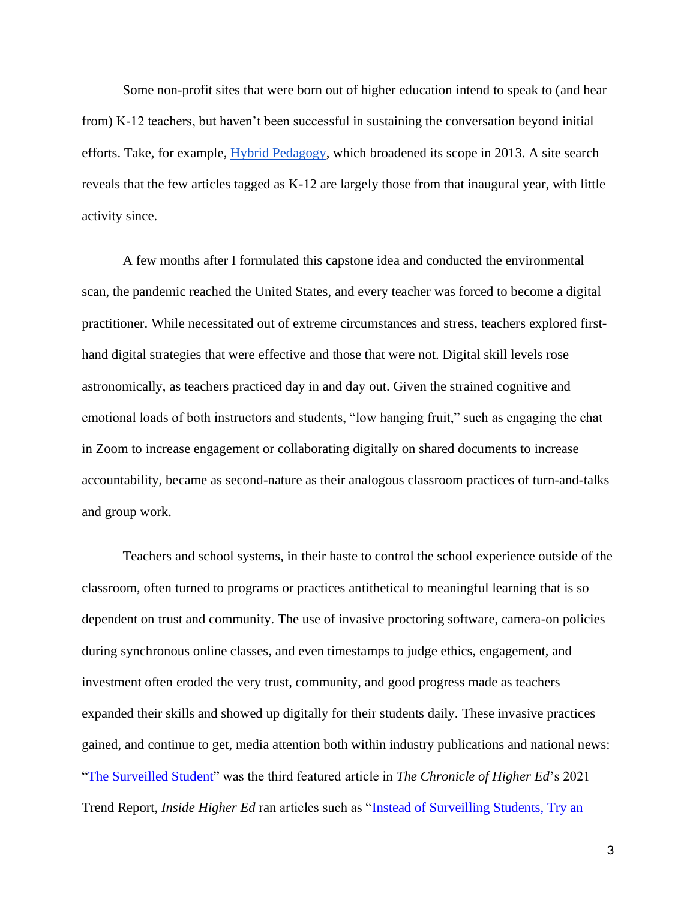Some non-profit sites that were born out of higher education intend to speak to (and hear from) K-12 teachers, but haven't been successful in sustaining the conversation beyond initial efforts. Take, for example, [Hybrid Pedagogy,](https://hybridpedagogy.org/about/) which broadened its scope in 2013. A site search reveals that the few articles tagged as K-12 are largely those from that inaugural year, with little activity since.

A few months after I formulated this capstone idea and conducted the environmental scan, the pandemic reached the United States, and every teacher was forced to become a digital practitioner. While necessitated out of extreme circumstances and stress, teachers explored firsthand digital strategies that were effective and those that were not. Digital skill levels rose astronomically, as teachers practiced day in and day out. Given the strained cognitive and emotional loads of both instructors and students, "low hanging fruit," such as engaging the chat in Zoom to increase engagement or collaborating digitally on shared documents to increase accountability, became as second-nature as their analogous classroom practices of turn-and-talks and group work.

Teachers and school systems, in their haste to control the school experience outside of the classroom, often turned to programs or practices antithetical to meaningful learning that is so dependent on trust and community. The use of invasive proctoring software, camera-on policies during synchronous online classes, and even timestamps to judge ethics, engagement, and investment often eroded the very trust, community, and good progress made as teachers expanded their skills and showed up digitally for their students daily. These invasive practices gained, and continue to get, media attention both within industry publications and national news: ["The Surveilled Student"](https://www.chronicle.com/article/the-surveilled-student) was the third featured article in *The Chronicle of Higher Ed*'s 2021 Trend Report, *Inside Higher Ed* ran articles such as ["Instead of Surveilling Students, Try an](https://www.insidehighered.com/blogs/just-visiting/instead-surveillance-try-ethic-care)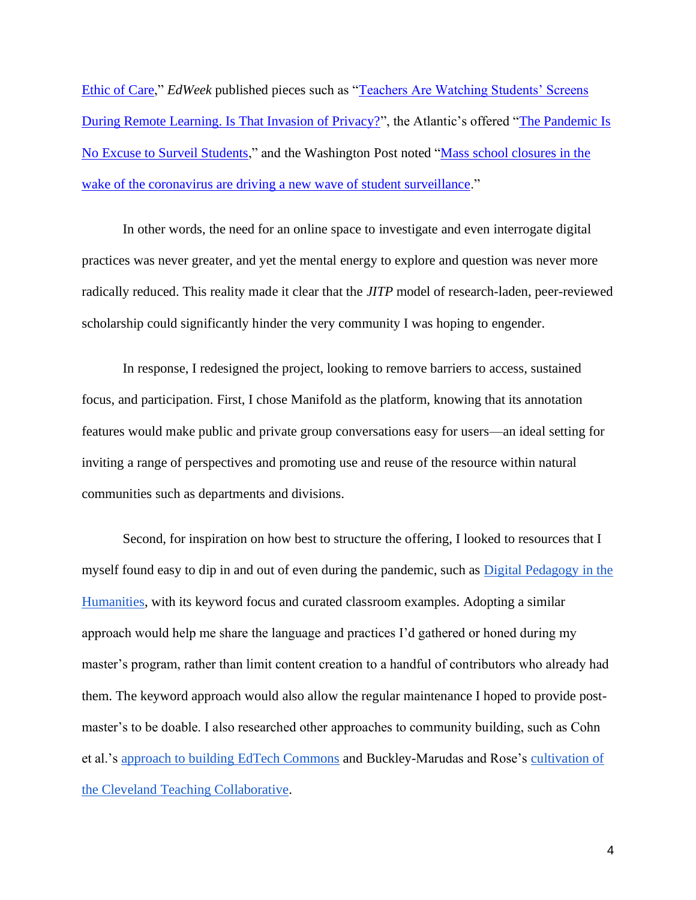[Ethic of Care,](https://www.insidehighered.com/blogs/just-visiting/instead-surveillance-try-ethic-care)" *EdWeek* published pieces such as ["Teachers Are Watching Students' Screens](https://www.edweek.org/technology/are-remote-classroom-management-tools-that-let-teachers-see-students-computer-screens-intrusive/2021/04)  [During Remote Learning. Is That Invasion of Privacy?"](https://www.edweek.org/technology/are-remote-classroom-management-tools-that-let-teachers-see-students-computer-screens-intrusive/2021/04), the Atlantic's offered "The Pandemic Is [No Excuse to Surveil Students,](https://www.theatlantic.com/technology/archive/2020/09/pandemic-no-excuse-colleges-surveil-students/616015/)" and the Washington Post noted ["Mass school closures in the](https://www.washingtonpost.com/technology/2020/04/01/online-proctoring-college-exams-coronavirus/)  [wake of the coronavirus are driving a new wave of student surveillance.](https://www.washingtonpost.com/technology/2020/04/01/online-proctoring-college-exams-coronavirus/)"

In other words, the need for an online space to investigate and even interrogate digital practices was never greater, and yet the mental energy to explore and question was never more radically reduced. This reality made it clear that the *JITP* model of research-laden, peer-reviewed scholarship could significantly hinder the very community I was hoping to engender.

In response, I redesigned the project, looking to remove barriers to access, sustained focus, and participation. First, I chose Manifold as the platform, knowing that its annotation features would make public and private group conversations easy for users—an ideal setting for inviting a range of perspectives and promoting use and reuse of the resource within natural communities such as departments and divisions.

Second, for inspiration on how best to structure the offering, I looked to resources that I myself found easy to dip in and out of even during the pandemic, such as [Digital Pedagogy in the](https://digitalpedagogy.hcommons.org/)  [Humanities,](https://digitalpedagogy.hcommons.org/) with its keyword focus and curated classroom examples. Adopting a similar approach would help me share the language and practices I'd gathered or honed during my master's program, rather than limit content creation to a handful of contributors who already had them. The keyword approach would also allow the regular maintenance I hoped to provide postmaster's to be doable. I also researched other approaches to community building, such as Cohn et al.'s [approach to building EdTech Commons](https://www.proquest.com/docview/1931651070?parentSessionId=fyJe3smsMOeg7AhfWxxILjJqn4RQyoHsdPUOUPyKYOM%3D&pq-origsite=primo&accountid=7287) and Buckley-Marudas and Rose's [cultivation of](https://jitp.commons.gc.cuny.edu/collaboration-risk-and-pedagogies-of-care-looking-to-a-postpandemic-future/)  [the Cleveland Teaching Collaborative.](https://jitp.commons.gc.cuny.edu/collaboration-risk-and-pedagogies-of-care-looking-to-a-postpandemic-future/)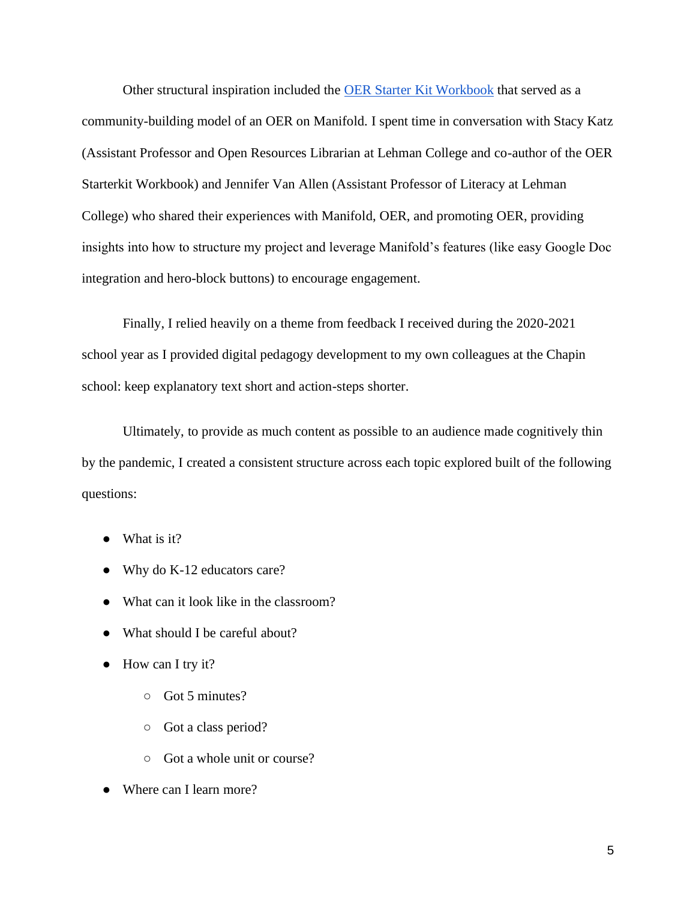Other structural inspiration included the OER Starter [Kit Workbook](https://cuny.manifoldapp.org/projects/the-oer-starter-kit-workbook) that served as a community-building model of an OER on Manifold. I spent time in conversation with Stacy Katz (Assistant Professor and Open Resources Librarian at Lehman College and co-author of the OER Starterkit Workbook) and Jennifer Van Allen (Assistant Professor of Literacy at Lehman College) who shared their experiences with Manifold, OER, and promoting OER, providing insights into how to structure my project and leverage Manifold's features (like easy Google Doc integration and hero-block buttons) to encourage engagement.

Finally, I relied heavily on a theme from feedback I received during the 2020-2021 school year as I provided digital pedagogy development to my own colleagues at the Chapin school: keep explanatory text short and action-steps shorter.

Ultimately, to provide as much content as possible to an audience made cognitively thin by the pandemic, I created a consistent structure across each topic explored built of the following questions:

- What is it?
- Why do K-12 educators care?
- What can it look like in the classroom?
- What should I be careful about?
- How can I try it?
	- Got 5 minutes?
	- Got a class period?
	- Got a whole unit or course?
- Where can I learn more?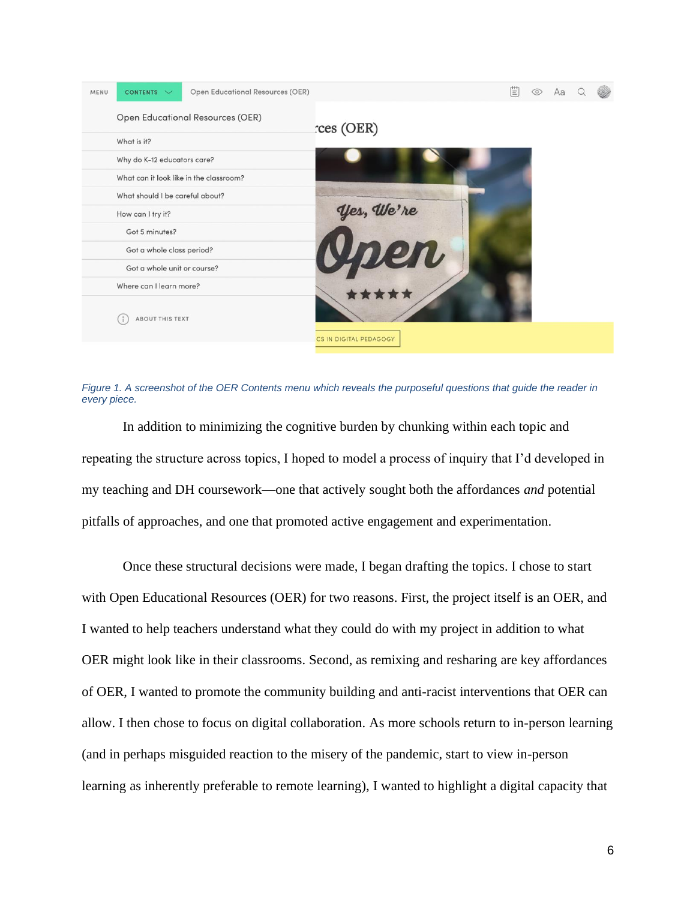

*Figure 1. A screenshot of the OER Contents menu which reveals the purposeful questions that guide the reader in every piece.*

<span id="page-15-0"></span>In addition to minimizing the cognitive burden by chunking within each topic and repeating the structure across topics, I hoped to model a process of inquiry that I'd developed in my teaching and DH coursework—one that actively sought both the affordances *and* potential pitfalls of approaches, and one that promoted active engagement and experimentation.

Once these structural decisions were made, I began drafting the topics. I chose to start with Open Educational Resources (OER) for two reasons. First, the project itself is an OER, and I wanted to help teachers understand what they could do with my project in addition to what OER might look like in their classrooms. Second, as remixing and resharing are key affordances of OER, I wanted to promote the community building and anti-racist interventions that OER can allow. I then chose to focus on digital collaboration. As more schools return to in-person learning (and in perhaps misguided reaction to the misery of the pandemic, start to view in-person learning as inherently preferable to remote learning), I wanted to highlight a digital capacity that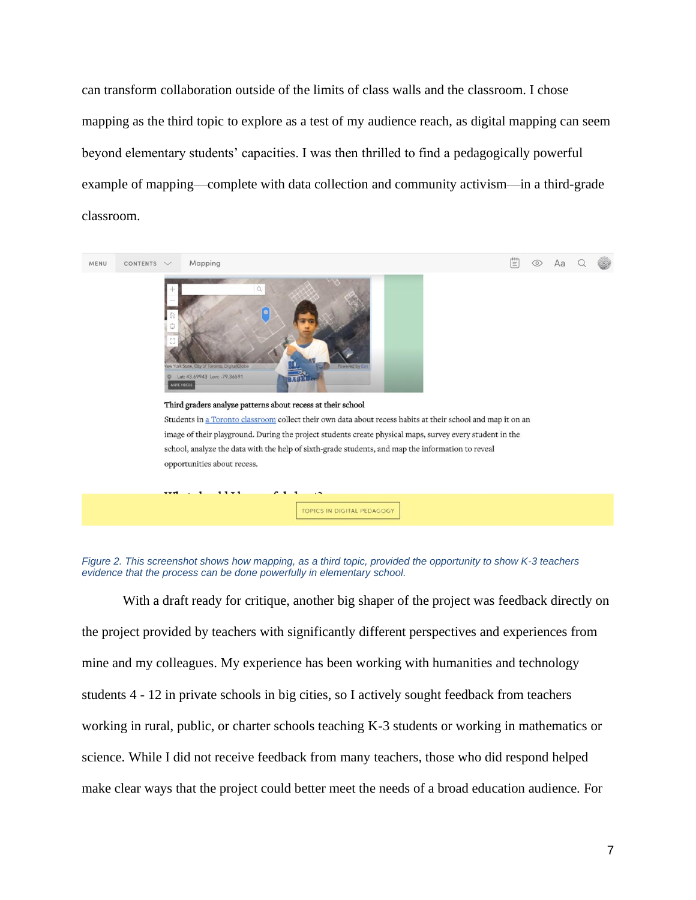can transform collaboration outside of the limits of class walls and the classroom. I chose mapping as the third topic to explore as a test of my audience reach, as digital mapping can seem beyond elementary students' capacities. I was then thrilled to find a pedagogically powerful example of mapping—complete with data collection and community activism—in a third-grade classroom.



<span id="page-16-0"></span>

With a draft ready for critique, another big shaper of the project was feedback directly on the project provided by teachers with significantly different perspectives and experiences from mine and my colleagues. My experience has been working with humanities and technology students 4 - 12 in private schools in big cities, so I actively sought feedback from teachers working in rural, public, or charter schools teaching K-3 students or working in mathematics or science. While I did not receive feedback from many teachers, those who did respond helped make clear ways that the project could better meet the needs of a broad education audience. For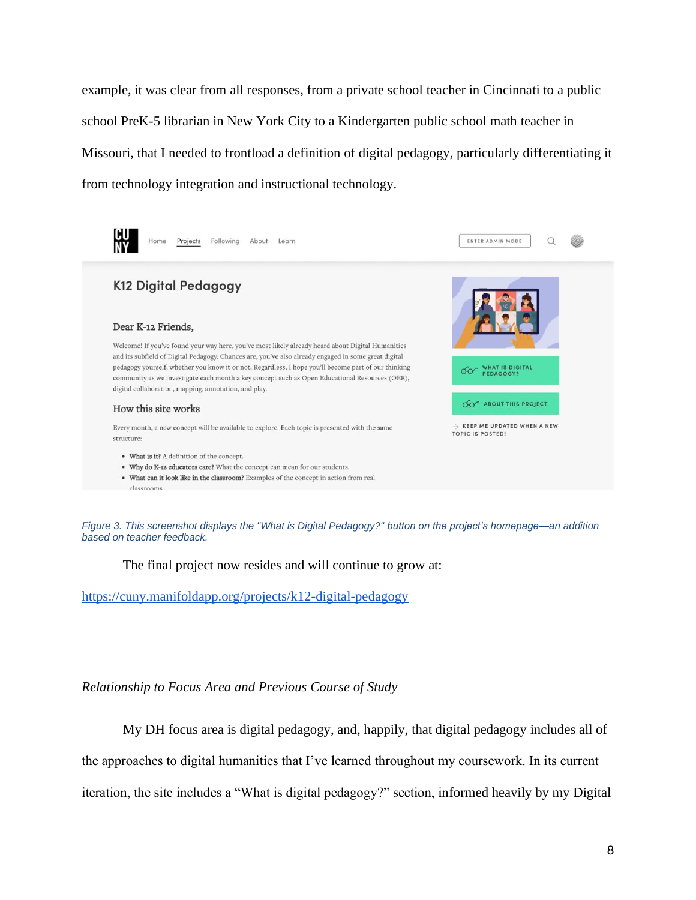example, it was clear from all responses, from a private school teacher in Cincinnati to a public school PreK-5 librarian in New York City to a Kindergarten public school math teacher in Missouri, that I needed to frontload a definition of digital pedagogy, particularly differentiating it from technology integration and instructional technology.



<span id="page-17-1"></span>*Figure 3. This screenshot displays the "What is Digital Pedagogy?" button on the project's homepage—an addition based on teacher feedback.*

The final project now resides and will continue to grow at:

<https://cuny.manifoldapp.org/projects/k12-digital-pedagogy>

### <span id="page-17-0"></span>*Relationship to Focus Area and Previous Course of Study*

My DH focus area is digital pedagogy, and, happily, that digital pedagogy includes all of the approaches to digital humanities that I've learned throughout my coursework. In its current iteration, the site includes a "What is digital pedagogy?" section, informed heavily by my Digital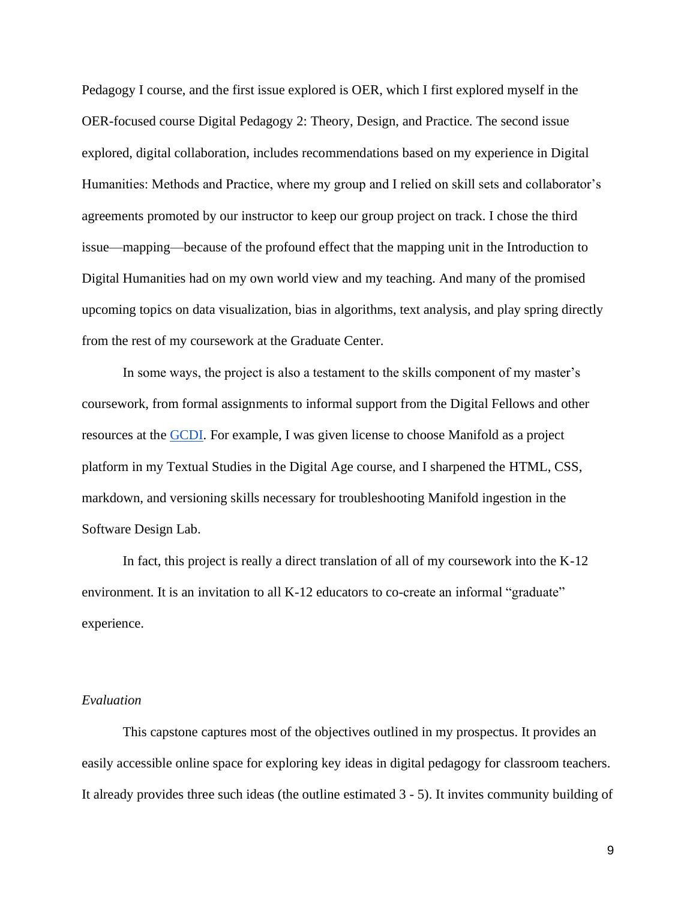Pedagogy I course, and the first issue explored is OER, which I first explored myself in the OER-focused course Digital Pedagogy 2: Theory, Design, and Practice. The second issue explored, digital collaboration, includes recommendations based on my experience in Digital Humanities: Methods and Practice, where my group and I relied on skill sets and collaborator's agreements promoted by our instructor to keep our group project on track. I chose the third issue—mapping—because of the profound effect that the mapping unit in the Introduction to Digital Humanities had on my own world view and my teaching. And many of the promised upcoming topics on data visualization, bias in algorithms, text analysis, and play spring directly from the rest of my coursework at the Graduate Center.

In some ways, the project is also a testament to the skills component of my master's coursework, from formal assignments to informal support from the Digital Fellows and other resources at the [GCDI.](https://gcdi.commons.gc.cuny.edu/) For example, I was given license to choose Manifold as a project platform in my Textual Studies in the Digital Age course, and I sharpened the HTML, CSS, markdown, and versioning skills necessary for troubleshooting Manifold ingestion in the Software Design Lab.

In fact, this project is really a direct translation of all of my coursework into the K-12 environment. It is an invitation to all K-12 educators to co-create an informal "graduate" experience.

#### <span id="page-18-0"></span>*Evaluation*

This capstone captures most of the objectives outlined in my prospectus. It provides an easily accessible online space for exploring key ideas in digital pedagogy for classroom teachers. It already provides three such ideas (the outline estimated 3 - 5). It invites community building of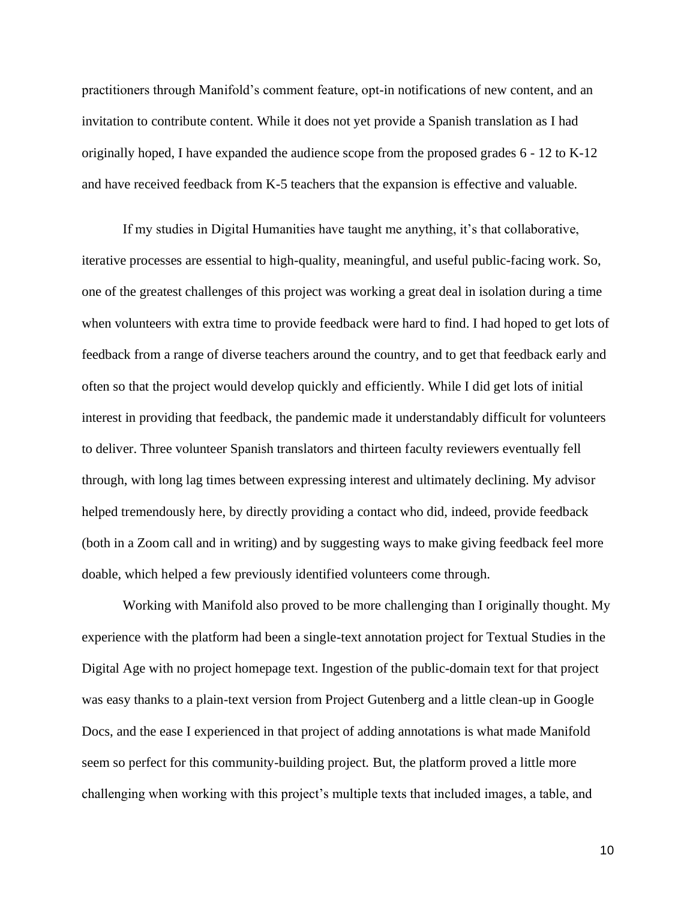practitioners through Manifold's comment feature, opt-in notifications of new content, and an invitation to contribute content. While it does not yet provide a Spanish translation as I had originally hoped, I have expanded the audience scope from the proposed grades 6 - 12 to K-12 and have received feedback from K-5 teachers that the expansion is effective and valuable.

If my studies in Digital Humanities have taught me anything, it's that collaborative, iterative processes are essential to high-quality, meaningful, and useful public-facing work. So, one of the greatest challenges of this project was working a great deal in isolation during a time when volunteers with extra time to provide feedback were hard to find. I had hoped to get lots of feedback from a range of diverse teachers around the country, and to get that feedback early and often so that the project would develop quickly and efficiently. While I did get lots of initial interest in providing that feedback, the pandemic made it understandably difficult for volunteers to deliver. Three volunteer Spanish translators and thirteen faculty reviewers eventually fell through, with long lag times between expressing interest and ultimately declining. My advisor helped tremendously here, by directly providing a contact who did, indeed, provide feedback (both in a Zoom call and in writing) and by suggesting ways to make giving feedback feel more doable, which helped a few previously identified volunteers come through.

Working with Manifold also proved to be more challenging than I originally thought. My experience with the platform had been a single-text annotation project for Textual Studies in the Digital Age with no project homepage text. Ingestion of the public-domain text for that project was easy thanks to a plain-text version from Project Gutenberg and a little clean-up in Google Docs, and the ease I experienced in that project of adding annotations is what made Manifold seem so perfect for this community-building project. But, the platform proved a little more challenging when working with this project's multiple texts that included images, a table, and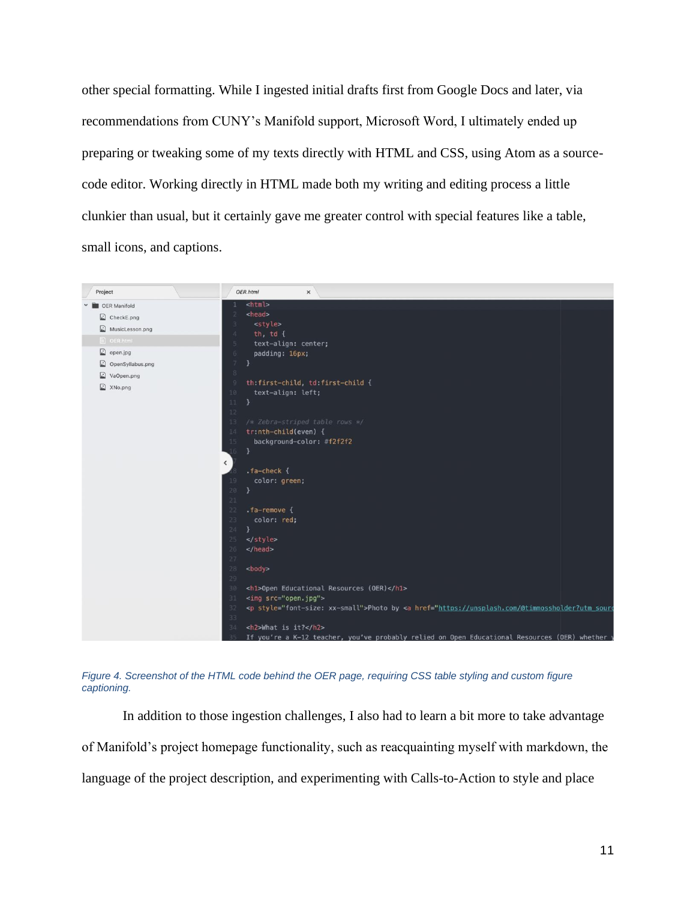other special formatting. While I ingested initial drafts first from Google Docs and later, via recommendations from CUNY's Manifold support, Microsoft Word, I ultimately ended up preparing or tweaking some of my texts directly with HTML and CSS, using Atom as a sourcecode editor. Working directly in HTML made both my writing and editing process a little clunkier than usual, but it certainly gave me greater control with special features like a table, small icons, and captions.





In addition to those ingestion challenges, I also had to learn a bit more to take advantage of Manifold's project homepage functionality, such as reacquainting myself with markdown, the language of the project description, and experimenting with Calls-to-Action to style and place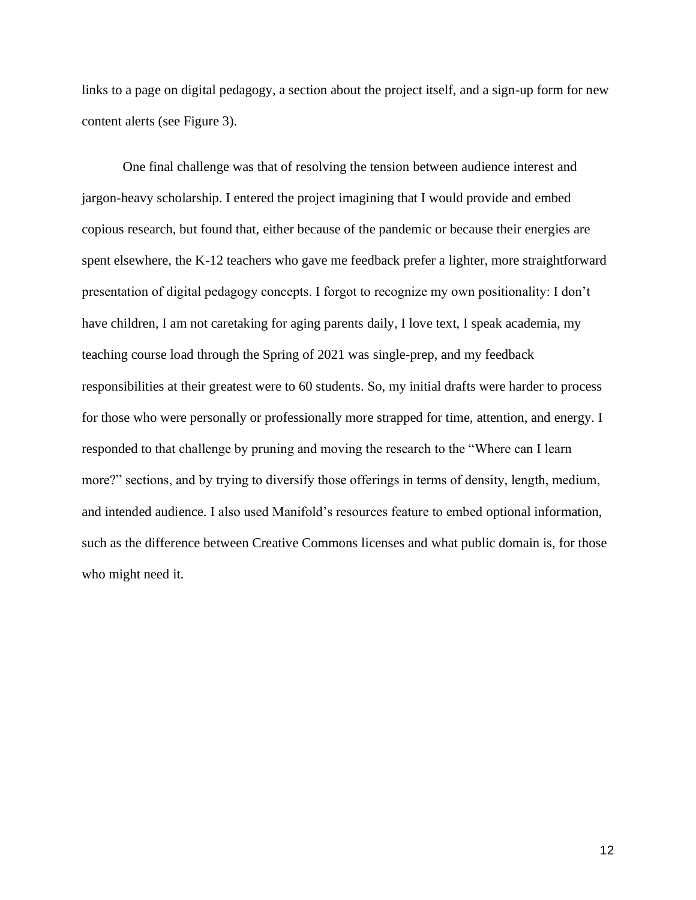links to a page on digital pedagogy, a section about the project itself, and a sign-up form for new content alerts (see Figure 3).

One final challenge was that of resolving the tension between audience interest and jargon-heavy scholarship. I entered the project imagining that I would provide and embed copious research, but found that, either because of the pandemic or because their energies are spent elsewhere, the K-12 teachers who gave me feedback prefer a lighter, more straightforward presentation of digital pedagogy concepts. I forgot to recognize my own positionality: I don't have children, I am not caretaking for aging parents daily, I love text, I speak academia, my teaching course load through the Spring of 2021 was single-prep, and my feedback responsibilities at their greatest were to 60 students. So, my initial drafts were harder to process for those who were personally or professionally more strapped for time, attention, and energy. I responded to that challenge by pruning and moving the research to the "Where can I learn more?" sections, and by trying to diversify those offerings in terms of density, length, medium, and intended audience. I also used Manifold's resources feature to embed optional information, such as the difference between Creative Commons licenses and what public domain is, for those who might need it.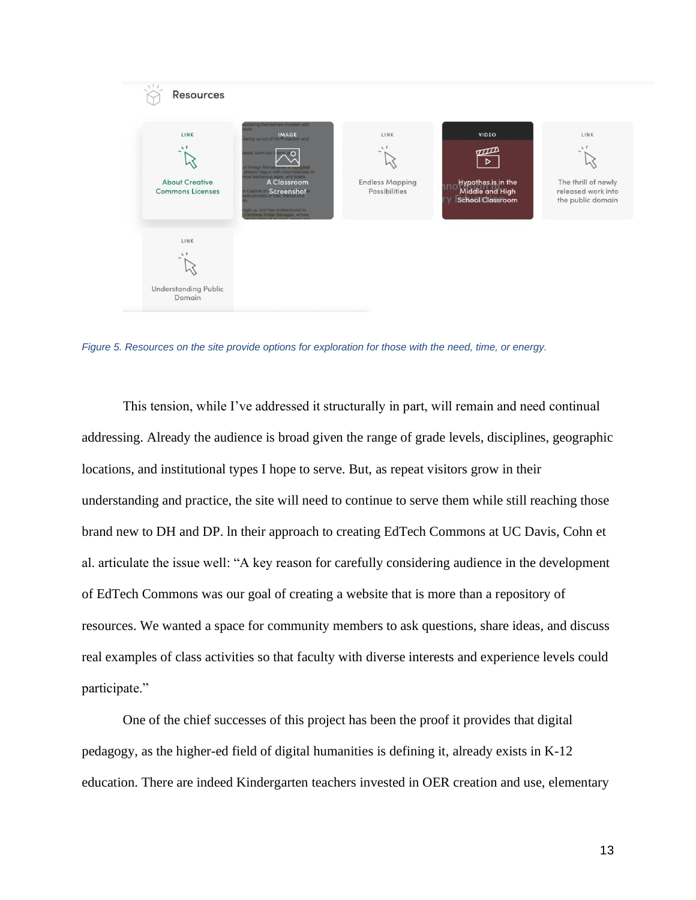

*Figure 5. Resources on the site provide options for exploration for those with the need, time, or energy.*

<span id="page-22-0"></span>This tension, while I've addressed it structurally in part, will remain and need continual addressing. Already the audience is broad given the range of grade levels, disciplines, geographic locations, and institutional types I hope to serve. But, as repeat visitors grow in their understanding and practice, the site will need to continue to serve them while still reaching those brand new to DH and DP. ln their approach to creating EdTech Commons at UC Davis, Cohn et al. articulate the issue well: "A key reason for carefully considering audience in the development of EdTech Commons was our goal of creating a website that is more than a repository of resources. We wanted a space for community members to ask questions, share ideas, and discuss real examples of class activities so that faculty with diverse interests and experience levels could participate."

One of the chief successes of this project has been the proof it provides that digital pedagogy, as the higher-ed field of digital humanities is defining it, already exists in K-12 education. There are indeed Kindergarten teachers invested in OER creation and use, elementary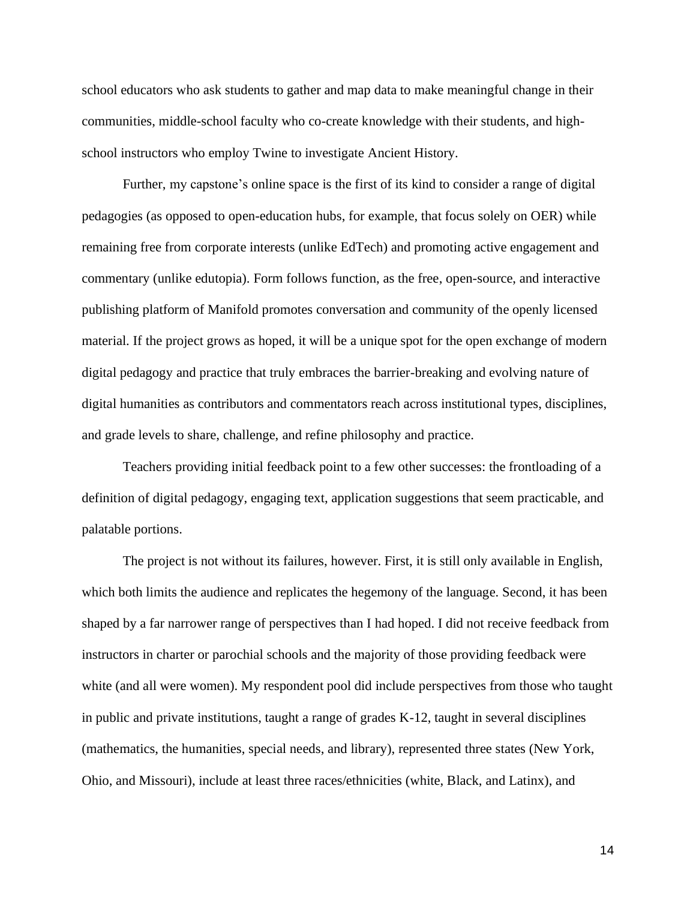school educators who ask students to gather and map data to make meaningful change in their communities, middle-school faculty who co-create knowledge with their students, and highschool instructors who employ Twine to investigate Ancient History.

Further, my capstone's online space is the first of its kind to consider a range of digital pedagogies (as opposed to open-education hubs, for example, that focus solely on OER) while remaining free from corporate interests (unlike EdTech) and promoting active engagement and commentary (unlike edutopia). Form follows function, as the free, open-source, and interactive publishing platform of Manifold promotes conversation and community of the openly licensed material. If the project grows as hoped, it will be a unique spot for the open exchange of modern digital pedagogy and practice that truly embraces the barrier-breaking and evolving nature of digital humanities as contributors and commentators reach across institutional types, disciplines, and grade levels to share, challenge, and refine philosophy and practice.

Teachers providing initial feedback point to a few other successes: the frontloading of a definition of digital pedagogy, engaging text, application suggestions that seem practicable, and palatable portions.

The project is not without its failures, however. First, it is still only available in English, which both limits the audience and replicates the hegemony of the language. Second, it has been shaped by a far narrower range of perspectives than I had hoped. I did not receive feedback from instructors in charter or parochial schools and the majority of those providing feedback were white (and all were women). My respondent pool did include perspectives from those who taught in public and private institutions, taught a range of grades K-12, taught in several disciplines (mathematics, the humanities, special needs, and library), represented three states (New York, Ohio, and Missouri), include at least three races/ethnicities (white, Black, and Latinx), and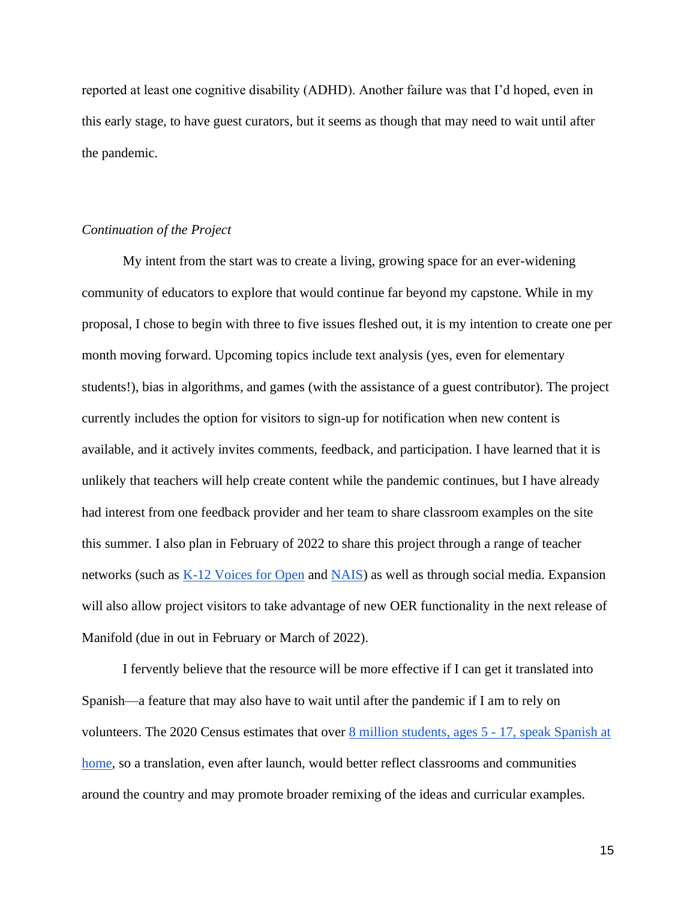reported at least one cognitive disability (ADHD). Another failure was that I'd hoped, even in this early stage, to have guest curators, but it seems as though that may need to wait until after the pandemic.

#### <span id="page-24-0"></span>*Continuation of the Project*

My intent from the start was to create a living, growing space for an ever-widening community of educators to explore that would continue far beyond my capstone. While in my proposal, I chose to begin with three to five issues fleshed out, it is my intention to create one per month moving forward. Upcoming topics include text analysis (yes, even for elementary students!), bias in algorithms, and games (with the assistance of a guest contributor). The project currently includes the option for visitors to sign-up for notification when new content is available, and it actively invites comments, feedback, and participation. I have learned that it is unlikely that teachers will help create content while the pandemic continues, but I have already had interest from one feedback provider and her team to share classroom examples on the site this summer. I also plan in February of 2022 to share this project through a range of teacher networks (such as [K-12 Voices for Open](https://sites.google.com/iskme.org/k-12voicesforopen) and [NAIS\)](https://www.nais.org/about/) as well as through social media. Expansion will also allow project visitors to take advantage of new OER functionality in the next release of Manifold (due in out in February or March of 2022).

I fervently believe that the resource will be more effective if I can get it translated into Spanish—a feature that may also have to wait until after the pandemic if I am to rely on volunteers. The 2020 Census estimates that over [8 million students, ages 5 -](https://data.census.gov/cedsci/table?q=Language%20Spoken%20at%20Home&tid=ACSST1Y2019.S1601) 17, speak Spanish at [home,](https://data.census.gov/cedsci/table?q=Language%20Spoken%20at%20Home&tid=ACSST1Y2019.S1601) so a translation, even after launch, would better reflect classrooms and communities around the country and may promote broader remixing of the ideas and curricular examples.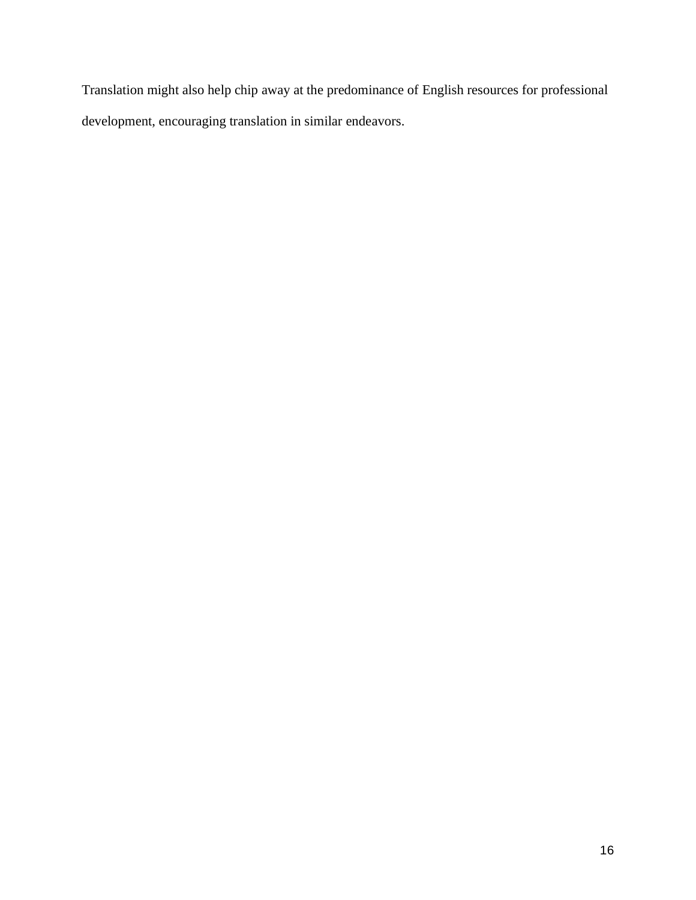Translation might also help chip away at the predominance of English resources for professional development, encouraging translation in similar endeavors.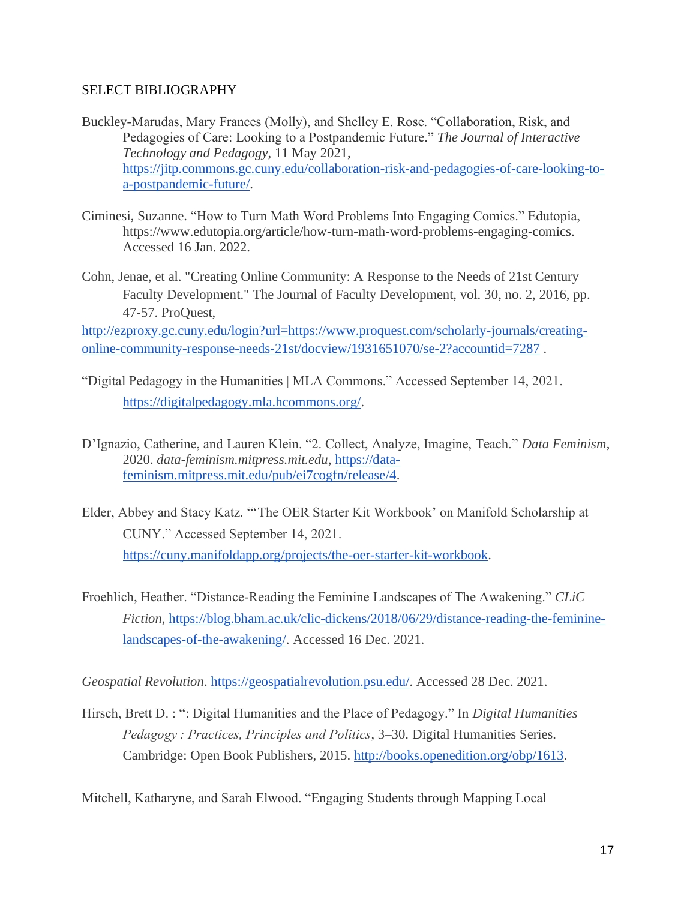### <span id="page-26-0"></span>SELECT BIBLIOGRAPHY

- Buckley-Marudas, Mary Frances (Molly), and Shelley E. Rose. "Collaboration, Risk, and Pedagogies of Care: Looking to a Postpandemic Future." *The Journal of Interactive Technology and Pedagogy*, 11 May 2021[,](https://jitp.commons.gc.cuny.edu/collaboration-risk-and-pedagogies-of-care-looking-to-a-postpandemic-future/) [https://jitp.commons.gc.cuny.edu/collaboration-risk-and-pedagogies-of-care-looking-to](https://jitp.commons.gc.cuny.edu/collaboration-risk-and-pedagogies-of-care-looking-to-a-postpandemic-future/)[a-postpandemic-future/.](https://jitp.commons.gc.cuny.edu/collaboration-risk-and-pedagogies-of-care-looking-to-a-postpandemic-future/)
- Ciminesi, Suzanne. "How to Turn Math Word Problems Into Engaging Comics." Edutopia, https://www.edutopia.org/article/how-turn-math-word-problems-engaging-comics. Accessed 16 Jan. 2022.
- Cohn, Jenae, et al. "Creating Online Community: A Response to the Needs of 21st Century Faculty Development." The Journal of Faculty Development, vol. 30, no. 2, 2016, pp. 47-57. ProQuest,

[http://ezproxy.gc.cuny.edu/login?url=https://www.proquest.com/scholarly-journals/creating](http://ezproxy.gc.cuny.edu/login?url=https://www.proquest.com/scholarly-journals/creating-online-community-response-needs-21st/docview/1931651070/se-2?accountid=7287)[online-community-response-needs-21st/docview/1931651070/se-2?accountid=7287](http://ezproxy.gc.cuny.edu/login?url=https://www.proquest.com/scholarly-journals/creating-online-community-response-needs-21st/docview/1931651070/se-2?accountid=7287) .

- "Digital Pedagogy in the Humanities | MLA Commons." Accessed September 14, 2021. [https://digitalpedagogy.mla.hcommons.org/.](https://digitalpedagogy.mla.hcommons.org/)
- D'Ignazio, Catherine, and Lauren Klein. "2. Collect, Analyze, Imagine, Teach." *Data Feminism*, 2020. *data-feminism.mitpress.mit.edu*, [https://data](https://data-feminism.mitpress.mit.edu/pub/ei7cogfn/release/4)[feminism.mitpress.mit.edu/pub/ei7cogfn/release/4.](https://data-feminism.mitpress.mit.edu/pub/ei7cogfn/release/4)
- Elder, Abbey and Stacy Katz. "'The OER Starter Kit Workbook' on Manifold Scholarship at CUNY." Accessed September 14, 2021. [https://cuny.manifoldapp.org/projects/the-oer-starter-kit-workbook.](https://cuny.manifoldapp.org/projects/the-oer-starter-kit-workbook)
- Froehlich, Heather. "Distance-Reading the Feminine Landscapes of The Awakening." *CLiC Fiction*, [https://blog.bham.ac.uk/clic-dickens/2018/06/29/distance-reading-the-feminine](https://blog.bham.ac.uk/clic-dickens/2018/06/29/distance-reading-the-feminine-landscapes-of-the-awakening/)[landscapes-of-the-awakening/.](https://blog.bham.ac.uk/clic-dickens/2018/06/29/distance-reading-the-feminine-landscapes-of-the-awakening/) Accessed 16 Dec. 2021.

*Geospatial Revolution*[.](https://geospatialrevolution.psu.edu/) [https://geospatialrevolution.psu.edu/.](https://geospatialrevolution.psu.edu/) Accessed 28 Dec. 2021.

Hirsch, Brett D. : ": Digital Humanities and the Place of Pedagogy." In *Digital Humanities Pedagogy : Practices, Principles and Politics*, 3–30. Digital Humanities Series. Cambridge: Open Book Publishers, 2015[.](http://books.openedition.org/obp/1613) [http://books.openedition.org/obp/1613.](http://books.openedition.org/obp/1613)

Mitchell, Katharyne, and Sarah Elwood. "Engaging Students through Mapping Local